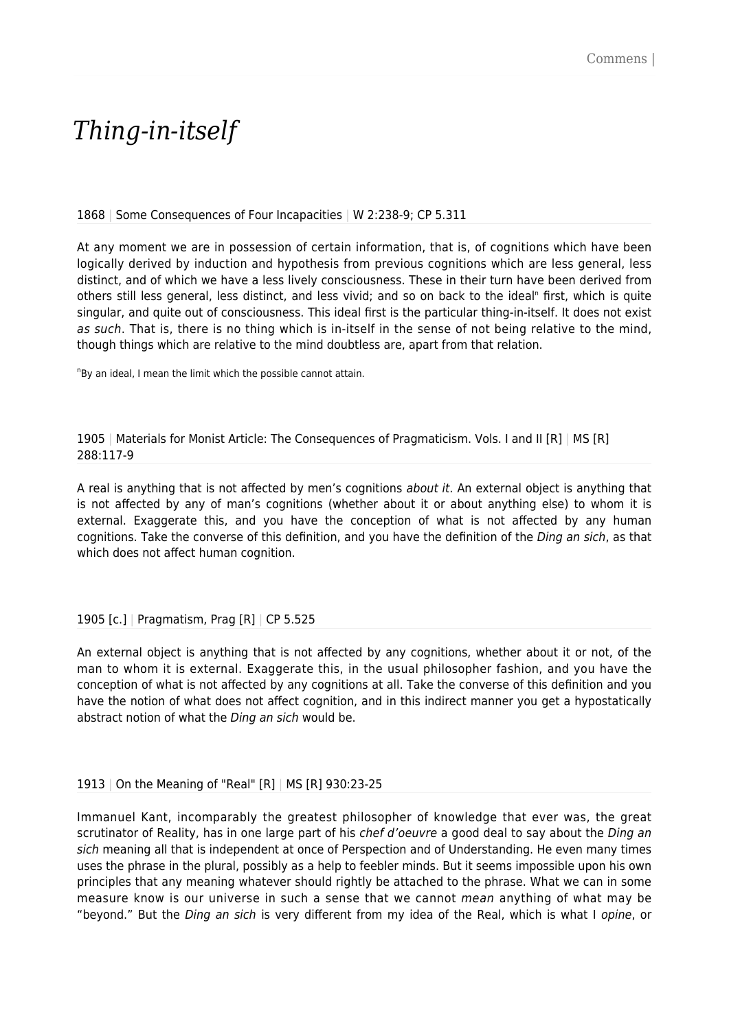## *Thing-in-itself*

1868 | Some Consequences of Four Incapacities | W 2:238-9; CP 5.311

At any moment we are in possession of certain information, that is, of cognitions which have been logically derived by induction and hypothesis from previous cognitions which are less general, less distinct, and of which we have a less lively consciousness. These in their turn have been derived from others still less general, less distinct, and less vivid; and so on back to the ideal<sup>n</sup> first, which is quite singular, and quite out of consciousness. This ideal first is the particular thing-in-itself. It does not exist as such. That is, there is no thing which is in-itself in the sense of not being relative to the mind. though things which are relative to the mind doubtless are, apart from that relation.

<sup>n</sup>By an ideal, I mean the limit which the possible cannot attain.

1905 | Materials for Monist Article: The Consequences of Pragmaticism. Vols. I and II [R] | MS [R] 288:117-9

A real is anything that is not affected by men's cognitions about it. An external object is anything that is not affected by any of man's cognitions (whether about it or about anything else) to whom it is external. Exaggerate this, and you have the conception of what is not affected by any human cognitions. Take the converse of this definition, and you have the definition of the Ding an sich, as that which does not affect human cognition.

1905 [c.] | Pragmatism, Prag [R] | CP 5.525

An external object is anything that is not affected by any cognitions, whether about it or not, of the man to whom it is external. Exaggerate this, in the usual philosopher fashion, and you have the conception of what is not affected by any cognitions at all. Take the converse of this definition and you have the notion of what does not affect cognition, and in this indirect manner you get a hypostatically abstract notion of what the Ding an sich would be.

1913 | On the Meaning of "Real" [R] | MS [R] 930:23-25

Immanuel Kant, incomparably the greatest philosopher of knowledge that ever was, the great scrutinator of Reality, has in one large part of his *chef d'oeuvre* a good deal to say about the *Ding an* sich meaning all that is independent at once of Perspection and of Understanding. He even many times uses the phrase in the plural, possibly as a help to feebler minds. But it seems impossible upon his own principles that any meaning whatever should rightly be attached to the phrase. What we can in some measure know is our universe in such a sense that we cannot mean anything of what may be "beyond." But the Ding an sich is very different from my idea of the Real, which is what I opine, or